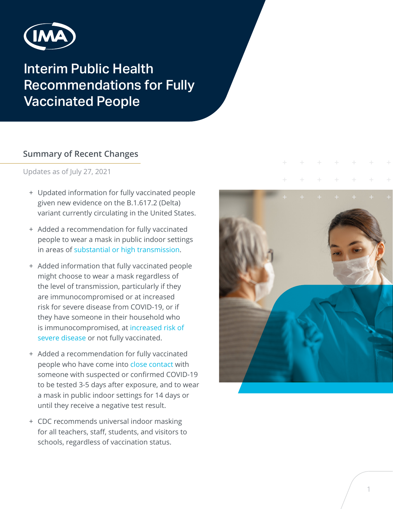

# Interim Public Health Recommendations for Fully Vaccinated People

#### **Summary of Recent Changes**

Updates as of July 27, 2021

- + Updated information for fully vaccinated people given new evidence on the B.1.617.2 (Delta) variant currently circulating in the United States.
- + Added a recommendation for fully vaccinated people to wear a mask in public indoor settings in areas of [substantial or high transmission.](https://covid.cdc.gov/covid-data-tracker/#county-view)
- + Added information that fully vaccinated people might choose to wear a mask regardless of the level of transmission, particularly if they are immunocompromised or at increased risk for severe disease from COVID-19, or if they have someone in their household who is immunocompromised, at [increased risk of](https://www.cdc.gov/coronavirus/2019-ncov/need-extra-precautions/people-with-medical-conditions.html)  [severe disease](https://www.cdc.gov/coronavirus/2019-ncov/need-extra-precautions/people-with-medical-conditions.html) or not fully vaccinated.
- + Added a recommendation for fully vaccinated people who have come into [close contact](https://www.cdc.gov/coronavirus/2019-ncov/php/contact-tracing/contact-tracing-plan/appendix.html#contact) with someone with suspected or confirmed COVID-19 to be tested 3-5 days after exposure, and to wear a mask in public indoor settings for 14 days or until they receive a negative test result.
- + CDC recommends universal indoor masking for all teachers, staff, students, and visitors to schools, regardless of vaccination status.

| $+$ + + + + + + |                      | $\pm$ |
|-----------------|----------------------|-------|
|                 |                      |       |
|                 |                      |       |
|                 | <b>Programmation</b> |       |
|                 |                      |       |
|                 |                      |       |
|                 |                      |       |
|                 |                      |       |
|                 |                      |       |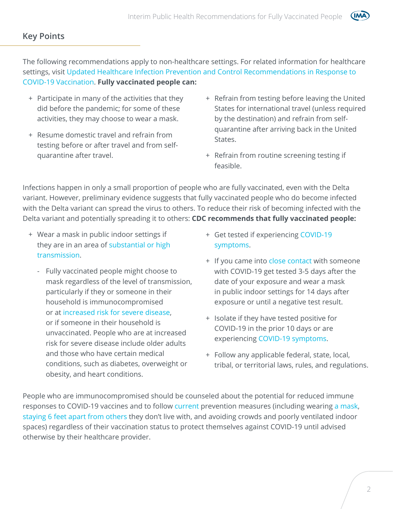#### **Key Points**

The following recommendations apply to non-healthcare settings. For related information for healthcare settings, visit [Updated Healthcare Infection Prevention and Control Recommendations in Response to](https://www.cdc.gov/coronavirus/2019-ncov/hcp/infection-control-after-vaccination.html)  [COVID-19 Vaccination](https://www.cdc.gov/coronavirus/2019-ncov/hcp/infection-control-after-vaccination.html). **Fully vaccinated people can:**

- + Participate in many of the activities that they did before the pandemic; for some of these activities, they may choose to wear a mask.
- + Resume domestic travel and refrain from testing before or after travel and from selfquarantine after travel.
- + Refrain from testing before leaving the United States for international travel (unless required by the destination) and refrain from selfquarantine after arriving back in the United States.

(IM4

+ Refrain from routine screening testing if feasible.

Infections happen in only a small proportion of people who are fully vaccinated, even with the Delta variant. However, preliminary evidence suggests that fully vaccinated people who do become infected with the Delta variant can spread the virus to others. To reduce their risk of becoming infected with the Delta variant and potentially spreading it to others: **CDC recommends that fully vaccinated people:**

- + Wear a mask in public indoor settings if they are in an area of [substantial or high](https://covid.cdc.gov/covid-data-tracker/#county-view)  [transmission](https://covid.cdc.gov/covid-data-tracker/#county-view).
	- Fully vaccinated people might choose to mask regardless of the level of transmission, particularly if they or someone in their household is immunocompromised or at [increased risk for severe disease,](https://www.cdc.gov/coronavirus/2019-ncov/need-extra-precautions/people-with-medical-conditions.html) or if someone in their household is unvaccinated. People who are at increased risk for severe disease include older adults and those who have certain medical conditions, such as diabetes, overweight or obesity, and heart conditions.
- + Get tested if experiencing [COVID-19](https://www.cdc.gov/coronavirus/2019-ncov/symptoms-testing/symptoms.html)  [symptoms.](https://www.cdc.gov/coronavirus/2019-ncov/symptoms-testing/symptoms.html)
- + If you came into [close contact](https://www.cdc.gov/coronavirus/2019-ncov/php/contact-tracing/contact-tracing-plan/appendix.html#contact) with someone with COVID-19 get tested 3-5 days after the date of your exposure and wear a mask in public indoor settings for 14 days after exposure or until a negative test result.
- + Isolate if they have tested positive for COVID-19 in the prior 10 days or are experiencing [COVID-19 symptoms.](https://www.cdc.gov/coronavirus/2019-ncov/symptoms-testing/symptoms.html)
- + Follow any applicable federal, state, local, tribal, or territorial laws, rules, and regulations.

People who are immunocompromised should be counseled about the potential for reduced immune responses to COVID-19 vaccines and to follow [current p](https://www.cdc.gov/coronavirus/2019-ncov/prevent-getting-sick/prevention.html)revention measures (including wearing [a mask,](https://www.cdc.gov/coronavirus/2019-ncov/prevent-getting-sick/about-face-coverings.html) [staying 6 feet apart from others](https://www.cdc.gov/coronavirus/2019-ncov/prevent-getting-sick/prevention.html#stay6ft) they don't live with, and avoiding crowds and poorly ventilated indoor spaces) regardless of their vaccination status to protect themselves against COVID-19 until advised otherwise by their healthcare provider.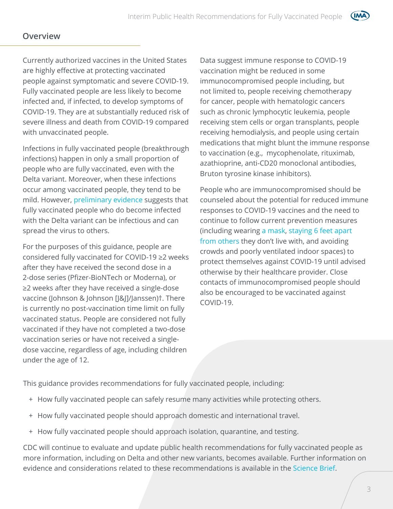#### **Overview**

Currently authorized vaccines in the United States are highly effective at protecting vaccinated people against symptomatic and severe COVID-19. Fully vaccinated people are less likely to become infected and, if infected, to develop symptoms of COVID-19. They are at substantially reduced risk of severe illness and death from COVID-19 compared with unvaccinated people.

Infections in fully vaccinated people (breakthrough infections) happen in only a small proportion of people who are fully vaccinated, even with the Delta variant. Moreover, when these infections occur among vaccinated people, they tend to be mild. However, [preliminary evidence](https://www.cdc.gov/coronavirus/2019-ncov/science/science-briefs/fully-vaccinated-people.html) suggests that fully vaccinated people who do become infected with the Delta variant can be infectious and can spread the virus to others.

For the purposes of this guidance, people are considered fully vaccinated for COVID-19 ≥2 weeks after they have received the second dose in a 2-dose series (Pfizer-BioNTech or Moderna), or ≥2 weeks after they have received a single-dose vaccine (Johnson & Johnson [J&J]/Janssen)†. There is currently no post-vaccination time limit on fully vaccinated status. People are considered not fully vaccinated if they have not completed a two-dose vaccination series or have not received a singledose vaccine, regardless of age, including children under the age of 12.

Data suggest immune response to COVID-19 vaccination might be reduced in some immunocompromised people including, but not limited to, people receiving chemotherapy for cancer, people with hematologic cancers such as chronic lymphocytic leukemia, people receiving stem cells or organ transplants, people receiving hemodialysis, and people using certain medications that might blunt the immune response to vaccination (e.g., mycophenolate, rituximab, azathioprine, anti-CD20 monoclonal antibodies, Bruton tyrosine kinase inhibitors).

People who are immunocompromised should be counseled about the potential for reduced immune responses to COVID-19 vaccines and the need to continue to follow current prevention measures (including wearing [a mask,](https://www.cdc.gov/coronavirus/2019-ncov/prevent-getting-sick/about-face-coverings.html) [staying 6 feet apart](https://www.cdc.gov/coronavirus/2019-ncov/prevent-getting-sick/prevention.html#stay6ft)  [from others](https://www.cdc.gov/coronavirus/2019-ncov/prevent-getting-sick/prevention.html#stay6ft) they don't live with, and avoiding crowds and poorly ventilated indoor spaces) to protect themselves against COVID-19 until advised otherwise by their healthcare provider. Close contacts of immunocompromised people should also be encouraged to be vaccinated against COVID-19.

This guidance provides recommendations for fully vaccinated people, including:

- + How fully vaccinated people can safely resume many activities while protecting others.
- + How fully vaccinated people should approach domestic and international travel.
- + How fully vaccinated people should approach isolation, quarantine, and testing.

CDC will continue to evaluate and update public health recommendations for fully vaccinated people as more information, including on Delta and other new variants, becomes available. Further information on evidence and considerations related to these recommendations is available in the [Science Brief](https://www.cdc.gov/coronavirus/2019-ncov/science/science-briefs/fully-vaccinated-people.html).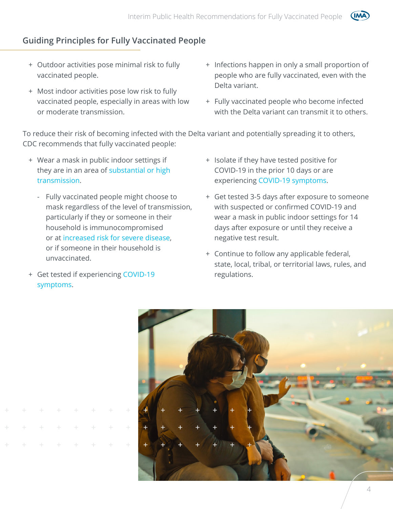

- + Outdoor activities pose minimal risk to fully vaccinated people.
- + Most indoor activities pose low risk to fully vaccinated people, especially in areas with low or moderate transmission.
- + Infections happen in only a small proportion of people who are fully vaccinated, even with the Delta variant.

(IM

+ Fully vaccinated people who become infected with the Delta variant can transmit it to others.

To reduce their risk of becoming infected with the Delta variant and potentially spreading it to others, CDC recommends that fully vaccinated people:

- + Wear a mask in public indoor settings if they are in an area of [substantial or high](https://covid.cdc.gov/covid-data-tracker/#county-view)  [transmission](https://covid.cdc.gov/covid-data-tracker/#county-view).
	- Fully vaccinated people might choose to mask regardless of the level of transmission, particularly if they or someone in their household is immunocompromised or at [increased risk for severe disease,](https://www.cdc.gov/coronavirus/2019-ncov/need-extra-precautions/people-with-medical-conditions.html) or if someone in their household is unvaccinated.
- + Get tested if experiencing [COVID-19](https://www.cdc.gov/coronavirus/2019-ncov/symptoms-testing/symptoms.html)  [symptoms.](https://www.cdc.gov/coronavirus/2019-ncov/symptoms-testing/symptoms.html)
- + Isolate if they have tested positive for COVID-19 in the prior 10 days or are experiencing [COVID-19 symptoms.](https://www.cdc.gov/coronavirus/2019-ncov/symptoms-testing/symptoms.html)
- + Get tested 3-5 days after exposure to someone with suspected or confirmed COVID-19 and wear a mask in public indoor settings for 14 days after exposure or until they receive a negative test result.
- + Continue to follow any applicable federal, state, local, tribal, or territorial laws, rules, and regulations.

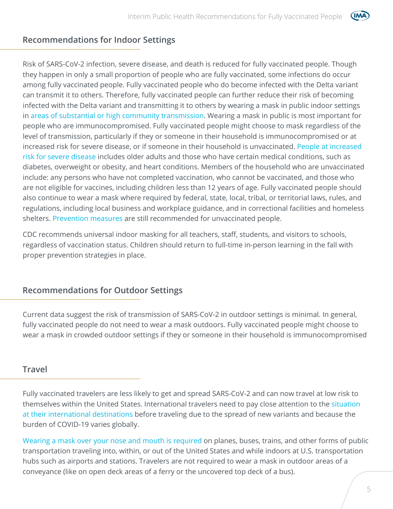

#### **Recommendations for Indoor Settings**

Risk of SARS-CoV-2 infection, severe disease, and death is reduced for fully vaccinated people. Though they happen in only a small proportion of people who are fully vaccinated, some infections do occur among fully vaccinated people. Fully vaccinated people who do become infected with the Delta variant can transmit it to others. Therefore, fully vaccinated people can further reduce their risk of becoming infected with the Delta variant and transmitting it to others by wearing a mask in public indoor settings in [areas of substantial or high community transmission.](https://covid.cdc.gov/covid-data-tracker/#county-view) Wearing a mask in public is most important for people who are immunocompromised. Fully vaccinated people might choose to mask regardless of the level of transmission, particularly if they or someone in their household is immunocompromised or at increased risk for severe disease, or if someone in their household is unvaccinated. [People at increased](https://www.cdc.gov/coronavirus/2019-ncov/need-extra-precautions/people-with-medical-conditions.html)  [risk for severe disease](https://www.cdc.gov/coronavirus/2019-ncov/need-extra-precautions/people-with-medical-conditions.html) includes older adults and those who have certain medical conditions, such as diabetes, overweight or obesity, and heart conditions. Members of the household who are unvaccinated include: any persons who have not completed vaccination, who cannot be vaccinated, and those who are not eligible for vaccines, including children less than 12 years of age. Fully vaccinated people should also continue to wear a mask where required by federal, state, local, tribal, or territorial laws, rules, and regulations, including local business and workplace guidance, and in correctional facilities and homeless shelters. [Prevention measures](https://www.cdc.gov/coronavirus/2019-ncov/prevent-getting-sick/prevention.html) are still recommended for unvaccinated people.

CDC recommends universal indoor masking for all teachers, staff, students, and visitors to schools, regardless of vaccination status. Children should return to full-time in-person learning in the fall with proper prevention strategies in place.

#### **Recommendations for Outdoor Settings**

Current data suggest the risk of transmission of SARS-CoV-2 in outdoor settings is minimal. In general, fully vaccinated people do not need to wear a mask outdoors. Fully vaccinated people might choose to wear a mask in crowded outdoor settings if they or someone in their household is immunocompromised

#### **Travel**

Fully vaccinated travelers are less likely to get and spread SARS-CoV-2 and can now travel at low risk to themselves within the United States. International travelers need to pay close attention to the [situation](https://www.cdc.gov/coronavirus/2019-ncov/travelers/map-and-travel-notices.html)  [at their international destinations](https://www.cdc.gov/coronavirus/2019-ncov/travelers/map-and-travel-notices.html) before traveling due to the spread of new variants and because the burden of COVID-19 varies globally.

[Wearing a mask over your nose and mouth is required](https://www.cdc.gov/coronavirus/2019-ncov/travelers/face-masks-public-transportation.html) on planes, buses, trains, and other forms of public transportation traveling into, within, or out of the United States and while indoors at U.S. transportation hubs such as airports and stations. Travelers are not required to wear a mask in outdoor areas of a conveyance (like on open deck areas of a ferry or the uncovered top deck of a bus).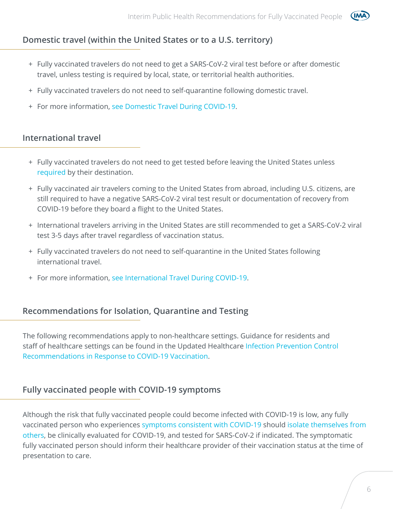

# **Domestic travel (within the United States or to a U.S. territory)**

- + Fully vaccinated travelers do not need to get a SARS-CoV-2 viral test before or after domestic travel, unless testing is required by local, state, or territorial health authorities.
- + Fully vaccinated travelers do not need to self-quarantine following domestic travel.
- + For more information, [see Domestic Travel During COVID-19.](https://www.cdc.gov/coronavirus/2019-ncov/travelers/travel-during-covid19.html)

## **International travel**

- + Fully vaccinated travelers do not need to get tested before leaving the United States unless [required](https://www.cdc.gov/coronavirus/2019-ncov/travelers/testing-international-air-travelers.html) by their destination.
- + Fully vaccinated air travelers coming to the United States from abroad, including U.S. citizens, are still required to have a negative SARS-CoV-2 viral test result or documentation of recovery from COVID-19 before they board a flight to the United States.
- + International travelers arriving in the United States are still recommended to get a SARS-CoV-2 viral test 3-5 days after travel regardless of vaccination status.
- + Fully vaccinated travelers do not need to self-quarantine in the United States following international travel.
- + For more information, [see International Travel During COVID-19.](https://www.cdc.gov/coronavirus/2019-ncov/travelers/international-travel-during-covid19.html)

# **Recommendations for Isolation, Quarantine and Testing**

The following recommendations apply to non-healthcare settings. Guidance for residents and staff of healthcare settings can be found in the Updated Healthcare [Infection Prevention Control](https://www.cdc.gov/coronavirus/2019-ncov/hcp/infection-control-after-vaccination.html)  [Recommendations in Response to COVID-19 Vaccination](https://www.cdc.gov/coronavirus/2019-ncov/hcp/infection-control-after-vaccination.html).

# **Fully vaccinated people with COVID-19 symptoms**

Although the risk that fully vaccinated people could become infected with COVID-19 is low, any fully vaccinated person who experiences [symptoms consistent with COVID-19](https://www.cdc.gov/coronavirus/2019-ncov/symptoms-testing/symptoms.html) should [isolate themselves from](https://www.cdc.gov/coronavirus/2019-ncov/if-you-are-sick/quarantine.html?CDC_AA_refVal=https%3A%2F%2Fwww.cdc.gov%2Fcoronavirus%2F2019-ncov%2Fif-you-are-sick%2Fisolation.html)  [others,](https://www.cdc.gov/coronavirus/2019-ncov/if-you-are-sick/quarantine.html?CDC_AA_refVal=https%3A%2F%2Fwww.cdc.gov%2Fcoronavirus%2F2019-ncov%2Fif-you-are-sick%2Fisolation.html) be clinically evaluated for COVID-19, and tested for SARS-CoV-2 if indicated. The symptomatic fully vaccinated person should inform their healthcare provider of their vaccination status at the time of presentation to care.